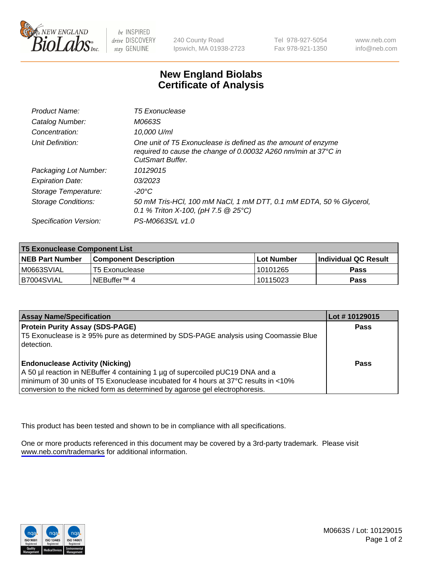

be INSPIRED drive DISCOVERY stay GENUINE

240 County Road Ipswich, MA 01938-2723 Tel 978-927-5054 Fax 978-921-1350

www.neb.com info@neb.com

## **New England Biolabs Certificate of Analysis**

| Product Name:              | <b>T5 Exonuclease</b>                                                                                                                                      |
|----------------------------|------------------------------------------------------------------------------------------------------------------------------------------------------------|
| Catalog Number:            | M0663S                                                                                                                                                     |
| Concentration:             | 10,000 U/ml                                                                                                                                                |
| Unit Definition:           | One unit of T5 Exonuclease is defined as the amount of enzyme<br>required to cause the change of 0.00032 A260 nm/min at 37°C in<br><b>CutSmart Buffer.</b> |
| Packaging Lot Number:      | 10129015                                                                                                                                                   |
| <b>Expiration Date:</b>    | 03/2023                                                                                                                                                    |
| Storage Temperature:       | -20°C                                                                                                                                                      |
| <b>Storage Conditions:</b> | 50 mM Tris-HCl, 100 mM NaCl, 1 mM DTT, 0.1 mM EDTA, 50 % Glycerol,<br>0.1 % Triton X-100, (pH 7.5 $@25°C$ )                                                |
| Specification Version:     | PS-M0663S/L v1.0                                                                                                                                           |

| <b>T5 Exonuclease Component List</b> |                         |             |                             |  |
|--------------------------------------|-------------------------|-------------|-----------------------------|--|
| <b>NEB Part Number</b>               | l Component Description | ⊺Lot Number | <b>Individual QC Result</b> |  |
| IM0663SVIAL                          | T5 Exonuclease          | 10101265    | <b>Pass</b>                 |  |
| IB7004SVIAL                          | l NEBuffer™ 4∶          | 10115023    | <b>Pass</b>                 |  |

| <b>Assay Name/Specification</b>                                                                                                                                                                                                                                                               | Lot # 10129015 |
|-----------------------------------------------------------------------------------------------------------------------------------------------------------------------------------------------------------------------------------------------------------------------------------------------|----------------|
| <b>Protein Purity Assay (SDS-PAGE)</b><br>T5 Exonuclease is ≥ 95% pure as determined by SDS-PAGE analysis using Coomassie Blue<br>I detection.                                                                                                                                                | <b>Pass</b>    |
| <b>Endonuclease Activity (Nicking)</b><br>A 50 µl reaction in NEBuffer 4 containing 1 µg of supercoiled pUC19 DNA and a<br>minimum of 30 units of T5 Exonuclease incubated for 4 hours at 37°C results in <10%<br>conversion to the nicked form as determined by agarose gel electrophoresis. | Pass           |

This product has been tested and shown to be in compliance with all specifications.

One or more products referenced in this document may be covered by a 3rd-party trademark. Please visit <www.neb.com/trademarks>for additional information.